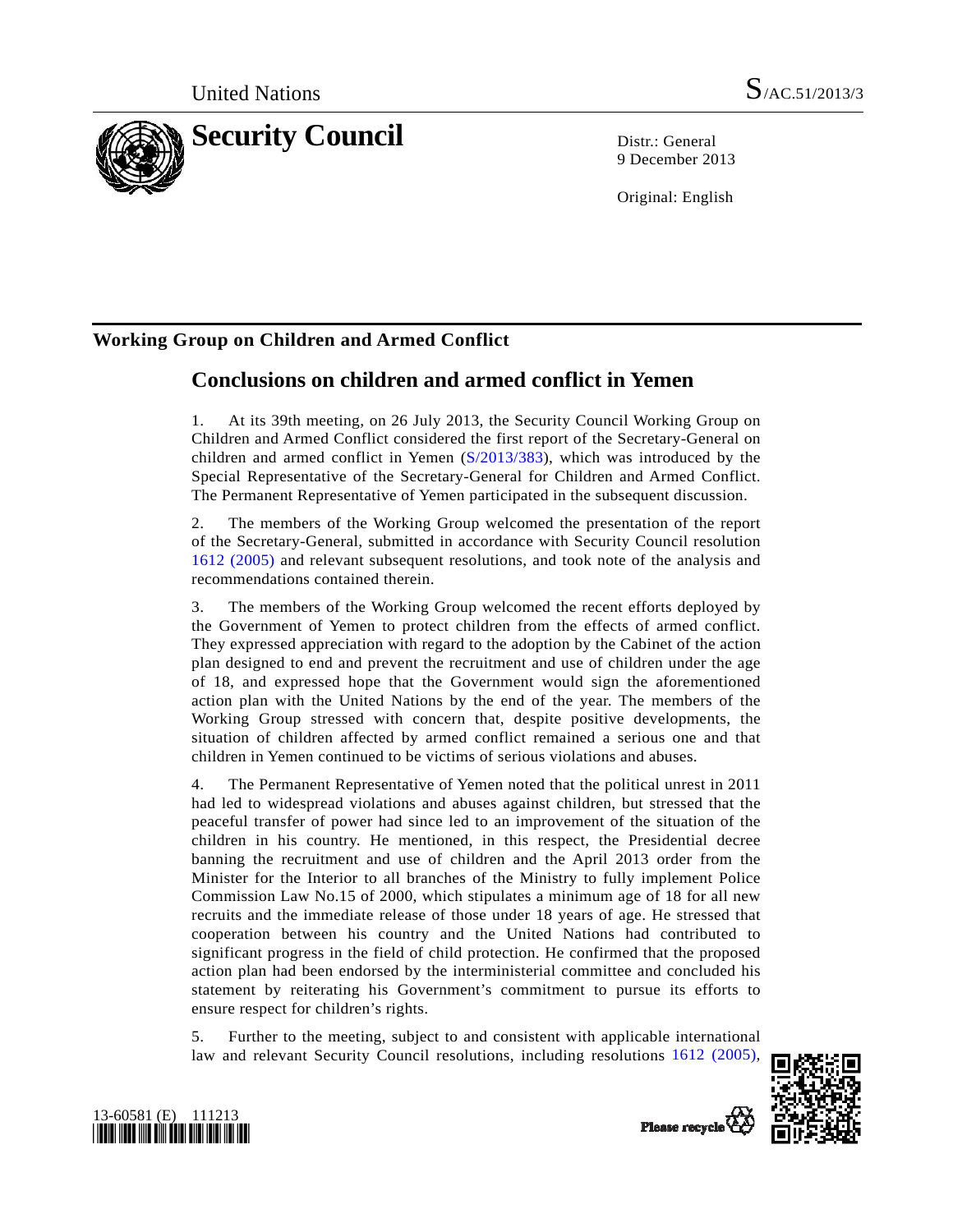

9 December 2013

Original: English

# **Working Group on Children and Armed Conflict**

# **Conclusions on children and armed conflict in Yemen**

1. At its 39th meeting, on 26 July 2013, the Security Council Working Group on Children and Armed Conflict considered the first report of the Secretary-General on children and armed conflict in Yemen ([S/2013/383](http://undocs.org/S/2013/383)), which was introduced by the Special Representative of the Secretary-General for Children and Armed Conflict. The Permanent Representative of Yemen participated in the subsequent discussion.

2. The members of the Working Group welcomed the presentation of the report of the Secretary-General, submitted in accordance with Security Council resolution [1612 \(2005\)](http://undocs.org/S/RES/1612(2005)) and relevant subsequent resolutions, and took note of the analysis and recommendations contained therein.

3. The members of the Working Group welcomed the recent efforts deployed by the Government of Yemen to protect children from the effects of armed conflict. They expressed appreciation with regard to the adoption by the Cabinet of the action plan designed to end and prevent the recruitment and use of children under the age of 18, and expressed hope that the Government would sign the aforementioned action plan with the United Nations by the end of the year. The members of the Working Group stressed with concern that, despite positive developments, the situation of children affected by armed conflict remained a serious one and that children in Yemen continued to be victims of serious violations and abuses.

4. The Permanent Representative of Yemen noted that the political unrest in 2011 had led to widespread violations and abuses against children, but stressed that the peaceful transfer of power had since led to an improvement of the situation of the children in his country. He mentioned, in this respect, the Presidential decree banning the recruitment and use of children and the April 2013 order from the Minister for the Interior to all branches of the Ministry to fully implement Police Commission Law No.15 of 2000, which stipulates a minimum age of 18 for all new recruits and the immediate release of those under 18 years of age. He stressed that cooperation between his country and the United Nations had contributed to significant progress in the field of child protection. He confirmed that the proposed action plan had been endorsed by the interministerial committee and concluded his statement by reiterating his Government's commitment to pursue its efforts to ensure respect for children's rights.

5. Further to the meeting, subject to and consistent with applicable international law and relevant Security Council resolutions, including resolutions [1612 \(2005\)](http://undocs.org/S/RES/1612(2005)),



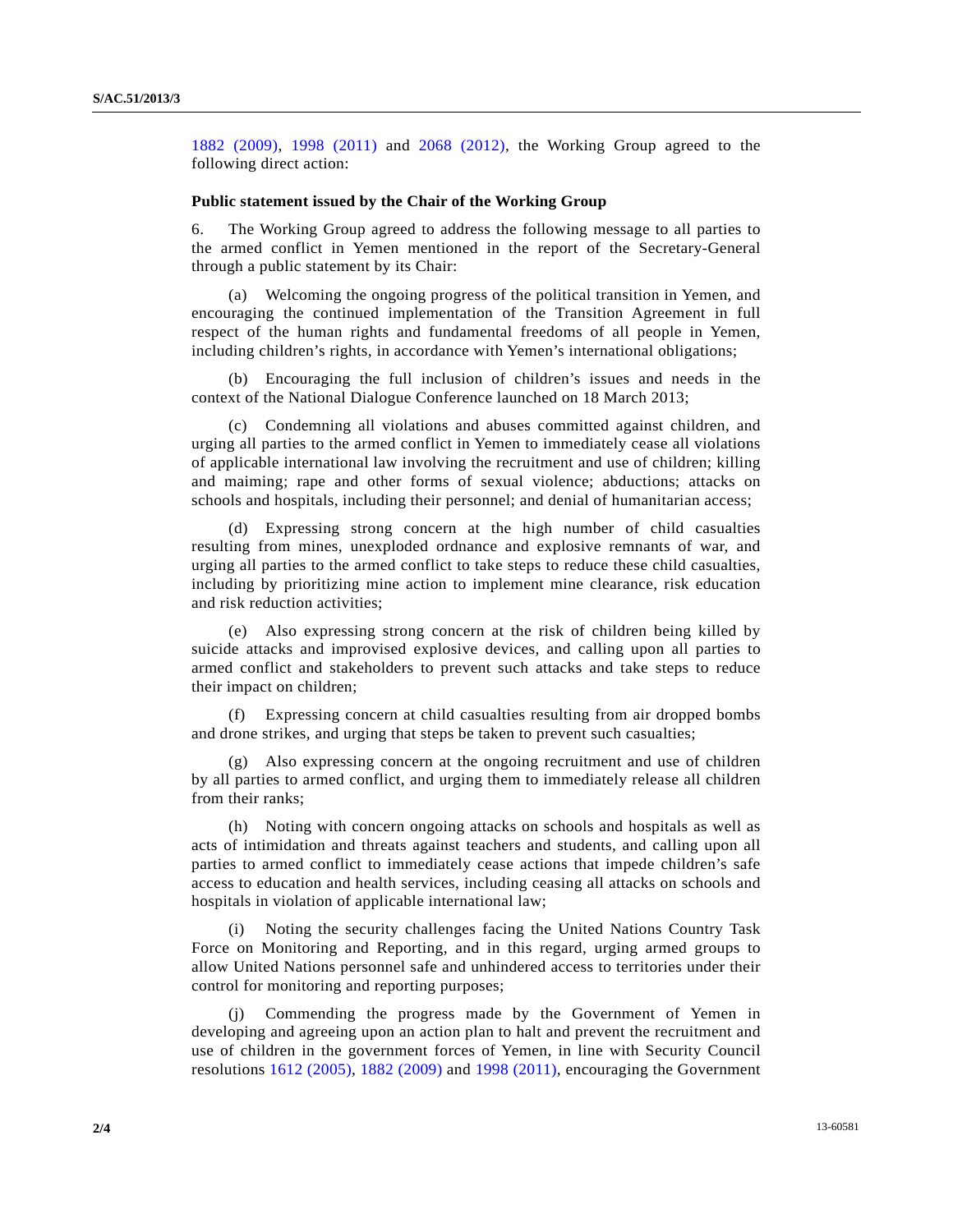[1882 \(2009\),](http://undocs.org/S/RES/1882(2009)) [1998 \(2011\)](http://undocs.org/S/RES/1998(2011)) and [2068 \(2012\),](http://undocs.org/S/RES/2068(2012)) the Working Group agreed to the following direct action:

## **Public statement issued by the Chair of the Working Group**

6. The Working Group agreed to address the following message to all parties to the armed conflict in Yemen mentioned in the report of the Secretary-General through a public statement by its Chair:

 (a) Welcoming the ongoing progress of the political transition in Yemen, and encouraging the continued implementation of the Transition Agreement in full respect of the human rights and fundamental freedoms of all people in Yemen, including children's rights, in accordance with Yemen's international obligations;

 (b) Encouraging the full inclusion of children's issues and needs in the context of the National Dialogue Conference launched on 18 March 2013;

 (c) Condemning all violations and abuses committed against children, and urging all parties to the armed conflict in Yemen to immediately cease all violations of applicable international law involving the recruitment and use of children; killing and maiming; rape and other forms of sexual violence; abductions; attacks on schools and hospitals, including their personnel; and denial of humanitarian access;

 (d) Expressing strong concern at the high number of child casualties resulting from mines, unexploded ordnance and explosive remnants of war, and urging all parties to the armed conflict to take steps to reduce these child casualties, including by prioritizing mine action to implement mine clearance, risk education and risk reduction activities;

 (e) Also expressing strong concern at the risk of children being killed by suicide attacks and improvised explosive devices, and calling upon all parties to armed conflict and stakeholders to prevent such attacks and take steps to reduce their impact on children;

 (f) Expressing concern at child casualties resulting from air dropped bombs and drone strikes, and urging that steps be taken to prevent such casualties;

 (g) Also expressing concern at the ongoing recruitment and use of children by all parties to armed conflict, and urging them to immediately release all children from their ranks;

 (h) Noting with concern ongoing attacks on schools and hospitals as well as acts of intimidation and threats against teachers and students, and calling upon all parties to armed conflict to immediately cease actions that impede children's safe access to education and health services, including ceasing all attacks on schools and hospitals in violation of applicable international law;

 (i) Noting the security challenges facing the United Nations Country Task Force on Monitoring and Reporting, and in this regard, urging armed groups to allow United Nations personnel safe and unhindered access to territories under their control for monitoring and reporting purposes;

Commending the progress made by the Government of Yemen in developing and agreeing upon an action plan to halt and prevent the recruitment and use of children in the government forces of Yemen, in line with Security Council resolutions [1612 \(2005\)](http://undocs.org/S/RES/1612(2005)), [1882 \(2009\)](http://undocs.org/S/RES/1882(2009)) and [1998 \(2011\),](http://undocs.org/S/RES/1998(2011)) encouraging the Government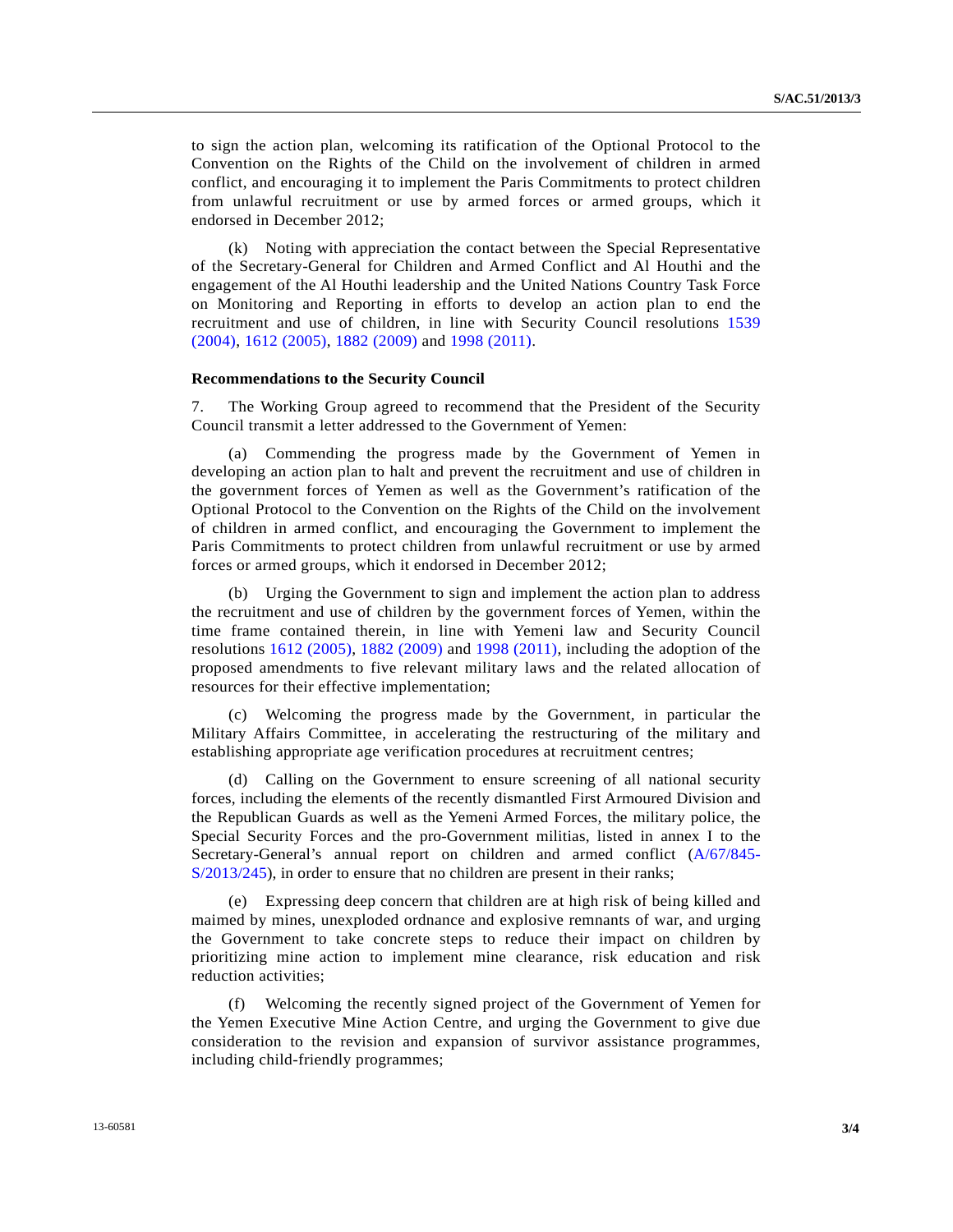to sign the action plan, welcoming its ratification of the Optional Protocol to the Convention on the Rights of the Child on the involvement of children in armed conflict, and encouraging it to implement the Paris Commitments to protect children from unlawful recruitment or use by armed forces or armed groups, which it endorsed in December 2012;

 (k) Noting with appreciation the contact between the Special Representative of the Secretary-General for Children and Armed Conflict and Al Houthi and the engagement of the Al Houthi leadership and the United Nations Country Task Force on Monitoring and Reporting in efforts to develop an action plan to end the recruitment and use of children, in line with Security Council resolutions [1539](http://undocs.org/S/RES/1539(2004))  [\(2004\),](http://undocs.org/S/RES/1539(2004)) [1612 \(2005\)](http://undocs.org/S/RES/1612(2005)), [1882 \(2009\)](http://undocs.org/S/RES/1882(2009)) and [1998 \(2011\).](http://undocs.org/S/RES/1998(2011))

### **Recommendations to the Security Council**

7. The Working Group agreed to recommend that the President of the Security Council transmit a letter addressed to the Government of Yemen:

Commending the progress made by the Government of Yemen in developing an action plan to halt and prevent the recruitment and use of children in the government forces of Yemen as well as the Government's ratification of the Optional Protocol to the Convention on the Rights of the Child on the involvement of children in armed conflict, and encouraging the Government to implement the Paris Commitments to protect children from unlawful recruitment or use by armed forces or armed groups, which it endorsed in December 2012;

 (b) Urging the Government to sign and implement the action plan to address the recruitment and use of children by the government forces of Yemen, within the time frame contained therein, in line with Yemeni law and Security Council resolutions [1612 \(2005\)](http://undocs.org/S/RES/1612(2005)), [1882 \(2009\)](http://undocs.org/S/RES/1882(2009)) and [1998 \(2011\)](http://undocs.org/S/RES/1998(2011)), including the adoption of the proposed amendments to five relevant military laws and the related allocation of resources for their effective implementation;

 (c) Welcoming the progress made by the Government, in particular the Military Affairs Committee, in accelerating the restructuring of the military and establishing appropriate age verification procedures at recruitment centres;

 (d) Calling on the Government to ensure screening of all national security forces, including the elements of the recently dismantled First Armoured Division and the Republican Guards as well as the Yemeni Armed Forces, the military police, the Special Security Forces and the pro-Government militias, listed in annex I to the Secretary-General's annual report on children and armed conflict ([A/67/845-](http://undocs.org/A/67/845) [S/2013/245\)](http://undocs.org/A/67/845), in order to ensure that no children are present in their ranks;

 (e) Expressing deep concern that children are at high risk of being killed and maimed by mines, unexploded ordnance and explosive remnants of war, and urging the Government to take concrete steps to reduce their impact on children by prioritizing mine action to implement mine clearance, risk education and risk reduction activities;

 (f) Welcoming the recently signed project of the Government of Yemen for the Yemen Executive Mine Action Centre, and urging the Government to give due consideration to the revision and expansion of survivor assistance programmes, including child-friendly programmes;